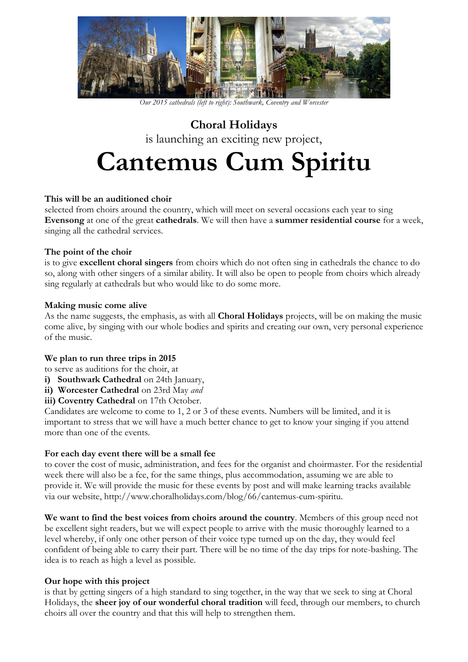

*Our 2015 cathedrals (left to right): Southwark, Coventry and Worcester*

**Choral Holidays** is launching an exciting new project, **Cantemus Cum Spiritu**

## **This will be an auditioned choir**

selected from choirs around the country, which will meet on several occasions each year to sing **Evensong** at one of the great **cathedrals**. We will then have a **summer residential course** for a week, singing all the cathedral services.

## **The point of the choir**

is to give **excellent choral singers** from choirs which do not often sing in cathedrals the chance to do so, along with other singers of a similar ability. It will also be open to people from choirs which already sing regularly at cathedrals but who would like to do some more.

## **Making music come alive**

As the name suggests, the emphasis, as with all **Choral Holidays** projects, will be on making the music come alive, by singing with our whole bodies and spirits and creating our own, very personal experience of the music.

## **We plan to run three trips in 2015**

to serve as auditions for the choir, at

- **i) Southwark Cathedral** on 24th January,
- **ii) Worcester Cathedral** on 23rd May *and*

**iii) Coventry Cathedral** on 17th October.

Candidates are welcome to come to 1, 2 or 3 of these events. Numbers will be limited, and it is important to stress that we will have a much better chance to get to know your singing if you attend more than one of the events.

## **For each day event there will be a small fee**

to cover the cost of music, administration, and fees for the organist and choirmaster. For the residential week there will also be a fee, for the same things, plus accommodation, assuming we are able to provide it. We will provide the music for these events by post and will make learning tracks available via our website, http://www.choralholidays.com/blog/66/cantemus-cum-spiritu.

**We want to find the best voices from choirs around the country**. Members of this group need not be excellent sight readers, but we will expect people to arrive with the music thoroughly learned to a level whereby, if only one other person of their voice type turned up on the day, they would feel confident of being able to carry their part. There will be no time of the day trips for note-bashing. The idea is to reach as high a level as possible.

## **Our hope with this project**

is that by getting singers of a high standard to sing together, in the way that we seek to sing at Choral Holidays, the **sheer joy of our wonderful choral tradition** will feed, through our members, to church choirs all over the country and that this will help to strengthen them.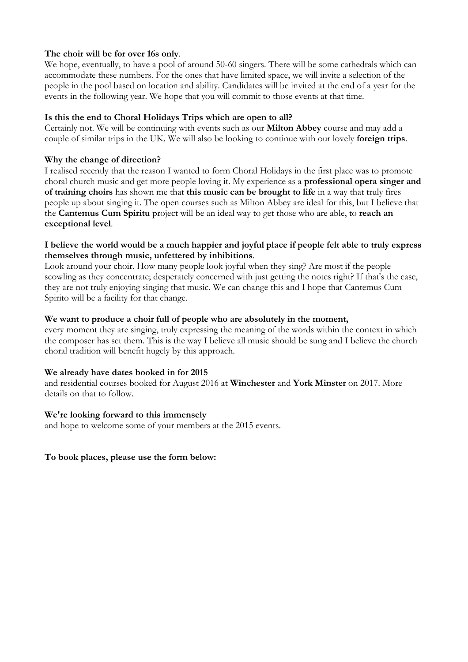# **The choir will be for over 16s only**.

We hope, eventually, to have a pool of around 50-60 singers. There will be some cathedrals which can accommodate these numbers. For the ones that have limited space, we will invite a selection of the people in the pool based on location and ability. Candidates will be invited at the end of a year for the events in the following year. We hope that you will commit to those events at that time.

## **Is this the end to Choral Holidays Trips which are open to all?**

Certainly not. We will be continuing with events such as our **Milton Abbey** course and may add a couple of similar trips in the UK. We will also be looking to continue with our lovely **foreign trips**.

## **Why the change of direction?**

I realised recently that the reason I wanted to form Choral Holidays in the first place was to promote choral church music and get more people loving it. My experience as a **professional opera singer and of training choirs** has shown me that **this music can be brought to life** in a way that truly fires people up about singing it. The open courses such as Milton Abbey are ideal for this, but I believe that the **Cantemus Cum Spiritu** project will be an ideal way to get those who are able, to **reach an exceptional level**.

# **I believe the world would be a much happier and joyful place if people felt able to truly express themselves through music, unfettered by inhibitions**.

Look around your choir. How many people look joyful when they sing? Are most if the people scowling as they concentrate; desperately concerned with just getting the notes right? If that's the case, they are not truly enjoying singing that music. We can change this and I hope that Cantemus Cum Spirito will be a facility for that change.

# **We want to produce a choir full of people who are absolutely in the moment,**

every moment they are singing, truly expressing the meaning of the words within the context in which the composer has set them. This is the way I believe all music should be sung and I believe the church choral tradition will benefit hugely by this approach.

## **We already have dates booked in for 2015**

and residential courses booked for August 2016 at **Winchester** and **York Minster** on 2017. More details on that to follow.

## **We're looking forward to this immensely**

and hope to welcome some of your members at the 2015 events.

**To book places, please use the form below:**